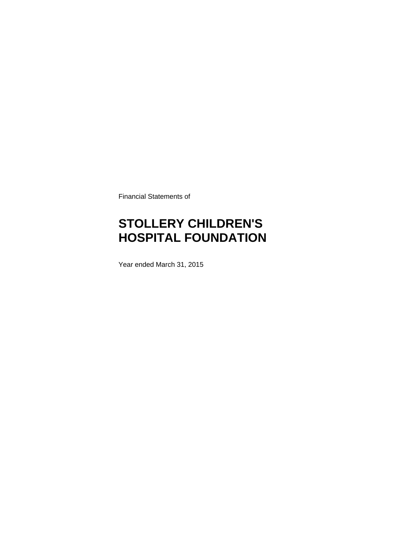Financial Statements of

# **STOLLERY CHILDREN'S HOSPITAL FOUNDATION**

Year ended March 31, 2015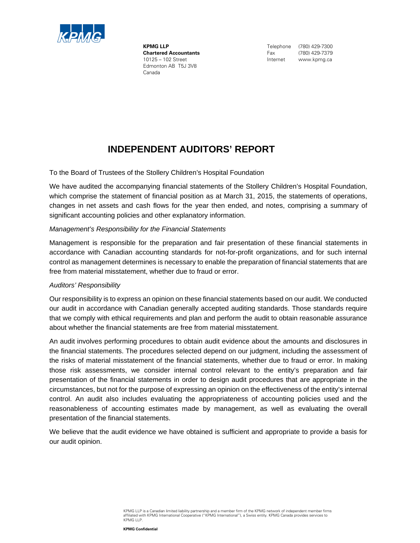

**KPMG LLP Chartered Accountants**  10125 – 102 Street Edmonton AB T5J 3V8 Canada

Telephone (780) 429-7300 Fax Internet

(780) 429-7379 www.kpmg.ca

### **INDEPENDENT AUDITORS' REPORT**

To the Board of Trustees of the Stollery Children's Hospital Foundation

We have audited the accompanying financial statements of the Stollery Children's Hospital Foundation, which comprise the statement of financial position as at March 31, 2015, the statements of operations, changes in net assets and cash flows for the year then ended, and notes, comprising a summary of significant accounting policies and other explanatory information.

#### *Management's Responsibility for the Financial Statements*

Management is responsible for the preparation and fair presentation of these financial statements in accordance with Canadian accounting standards for not-for-profit organizations, and for such internal control as management determines is necessary to enable the preparation of financial statements that are free from material misstatement, whether due to fraud or error.

#### *Auditors' Responsibility*

Our responsibility is to express an opinion on these financial statements based on our audit. We conducted our audit in accordance with Canadian generally accepted auditing standards. Those standards require that we comply with ethical requirements and plan and perform the audit to obtain reasonable assurance about whether the financial statements are free from material misstatement.

An audit involves performing procedures to obtain audit evidence about the amounts and disclosures in the financial statements. The procedures selected depend on our judgment, including the assessment of the risks of material misstatement of the financial statements, whether due to fraud or error. In making those risk assessments, we consider internal control relevant to the entity's preparation and fair presentation of the financial statements in order to design audit procedures that are appropriate in the circumstances, but not for the purpose of expressing an opinion on the effectiveness of the entity's internal control. An audit also includes evaluating the appropriateness of accounting policies used and the reasonableness of accounting estimates made by management, as well as evaluating the overall presentation of the financial statements.

We believe that the audit evidence we have obtained is sufficient and appropriate to provide a basis for our audit opinion.

KPMG LLP is a Canadian limited liability partnership and a member firm of the KPMG network of independent member firms affiliated with KPMG International Cooperative ("KPMG International"), a Swiss entity. KPMG Canada provides services to KPMG LLP.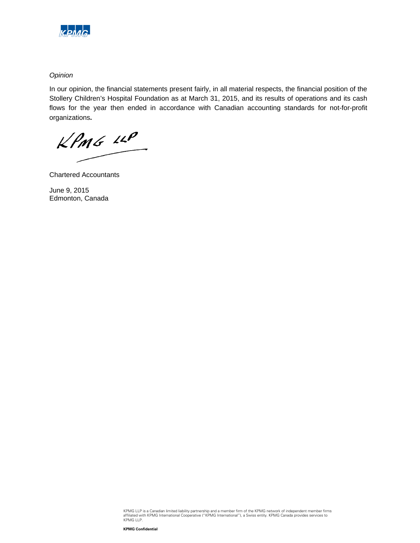

#### *Opinion*

In our opinion, the financial statements present fairly, in all material respects, the financial position of the Stollery Children's Hospital Foundation as at March 31, 2015, and its results of operations and its cash flows for the year then ended in accordance with Canadian accounting standards for not-for-profit organizations**.** 

 $KPMG$  14P

Chartered Accountants

June 9, 2015 Edmonton, Canada

KPMG LLP is a Canadian limited liability partnership and a member firm of the KPMG network of independent member firms affiliated with KPMG International Cooperative ("KPMG International"), a Swiss entity. KPMG Canada provides services to KPMG LLP.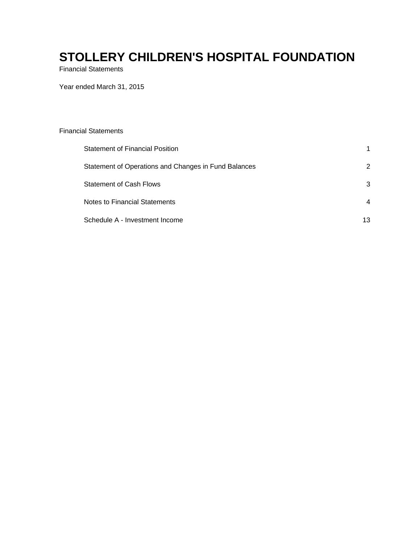Financial Statements

Year ended March 31, 2015

| <b>Financial Statements</b>                          |    |
|------------------------------------------------------|----|
| <b>Statement of Financial Position</b>               |    |
| Statement of Operations and Changes in Fund Balances | 2  |
| <b>Statement of Cash Flows</b>                       | 3  |
| Notes to Financial Statements                        | 4  |
| Schedule A - Investment Income                       | 13 |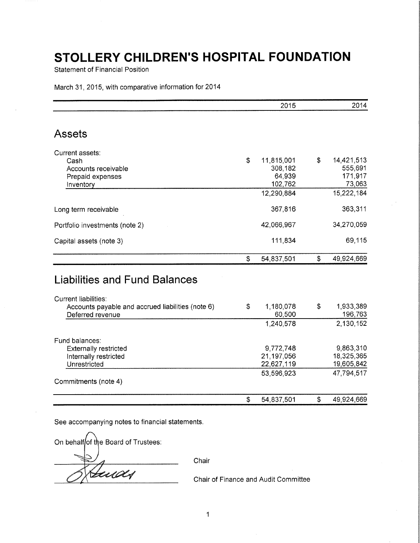**Statement of Financial Position** 

March 31, 2015, with comparative information for 2014

|                                                   | 2015             | 2014             |
|---------------------------------------------------|------------------|------------------|
| <b>Assets</b>                                     |                  |                  |
| Current assets:                                   |                  |                  |
| Cash                                              | \$<br>11,815,001 | \$<br>14,421,513 |
| Accounts receivable                               | 308,182          | 555,691          |
| Prepaid expenses                                  | 64,939           | 171,917          |
| Inventory                                         | 102,762          | 73,063           |
|                                                   | 12,290,884       | 15,222,184       |
| Long term receivable                              | 367,816          | 363,311          |
| Portfolio investments (note 2)                    | 42,066,967       | 34,270,059       |
| Capital assets (note 3)                           | 111,834          | 69,115           |
|                                                   | \$<br>54,837,501 | \$<br>49,924,669 |
| <b>Liabilities and Fund Balances</b>              |                  |                  |
| Current liabilities:                              |                  |                  |
| Accounts payable and accrued liabilities (note 6) | \$<br>1,180,078  | \$<br>1,933,389  |
| Deferred revenue                                  | 60,500           | 196,763          |
|                                                   | 1,240,578        | 2,130,152        |
| Fund balances:                                    |                  |                  |
| <b>Externally restricted</b>                      | 9,772,748        | 9,863,310        |
| Internally restricted                             | 21,197,056       | 18,325,365       |
| Unrestricted                                      | 22,627,119       | 19,605,842       |
|                                                   | 53,596,923       | 47,794,517       |
| Commitments (note 4)                              |                  |                  |
|                                                   | \$<br>54,837,501 | \$<br>49,924,669 |

See accompanying notes to financial statements.

On behalfof the Board of Trustees: kudy

Chair

Chair of Finance and Audit Committee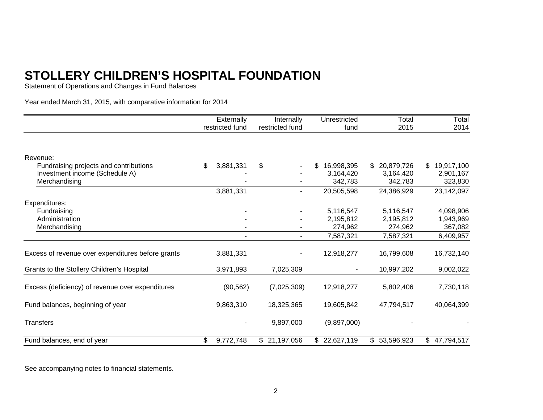Statement of Operations and Changes in Fund Balances

Year ended March 31, 2015, with comparative information for 2014

|                                                   | Externally<br>Internally |                  | Unrestricted     | Total         | Total             |
|---------------------------------------------------|--------------------------|------------------|------------------|---------------|-------------------|
|                                                   | restricted fund          | restricted fund  | fund             | 2015          | 2014              |
| Revenue:                                          |                          |                  |                  |               |                   |
| Fundraising projects and contributions            | \$<br>3,881,331          | \$               | 16,998,395<br>S. | \$ 20,879,726 | 19,917,100<br>\$. |
| Investment income (Schedule A)                    |                          |                  | 3,164,420        | 3,164,420     | 2,901,167         |
| Merchandising                                     |                          |                  | 342,783          | 342,783       | 323,830           |
|                                                   | 3,881,331                |                  | 20,505,598       | 24,386,929    | 23,142,097        |
| Expenditures:                                     |                          |                  |                  |               |                   |
| Fundraising                                       |                          |                  | 5,116,547        | 5,116,547     | 4,098,906         |
| Administration                                    |                          |                  | 2,195,812        | 2,195,812     | 1,943,969         |
| Merchandising                                     |                          |                  | 274,962          | 274,962       | 367,082           |
|                                                   |                          | $\blacksquare$   | 7,587,321        | 7,587,321     | 6,409,957         |
| Excess of revenue over expenditures before grants | 3,881,331                |                  | 12,918,277       | 16,799,608    | 16,732,140        |
| Grants to the Stollery Children's Hospital        | 3,971,893                | 7,025,309        |                  | 10,997,202    | 9,002,022         |
| Excess (deficiency) of revenue over expenditures  | (90, 562)                | (7,025,309)      | 12,918,277       | 5,802,406     | 7,730,118         |
| Fund balances, beginning of year                  | 9,863,310                | 18,325,365       | 19,605,842       | 47,794,517    | 40,064,399        |
| <b>Transfers</b>                                  |                          | 9,897,000        | (9,897,000)      |               |                   |
| Fund balances, end of year                        | \$<br>9,772,748          | 21,197,056<br>\$ | \$22,627,119     | \$53,596,923  | \$47,794,517      |

See accompanying notes to financial statements.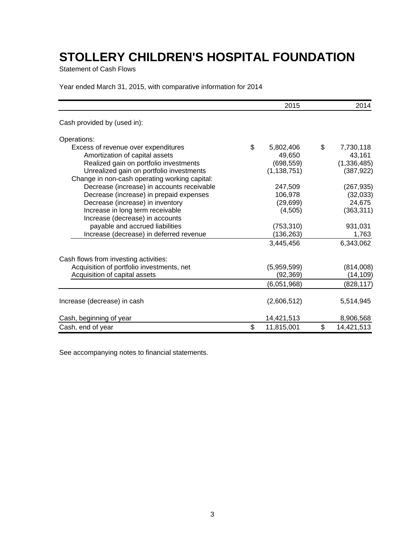Statement of Cash Flows

Year ended March 31, 2015, with comparative information for 2014

|                                               | 2015             | 2014             |
|-----------------------------------------------|------------------|------------------|
| Cash provided by (used in):                   |                  |                  |
| Operations:                                   |                  |                  |
| Excess of revenue over expenditures           | \$<br>5,802,406  | \$<br>7,730,118  |
| Amortization of capital assets                | 49,650           | 43,161           |
| Realized gain on portfolio investments        | (698, 559)       | (1,336,485)      |
| Unrealized gain on portfolio investments      | (1, 138, 751)    | (387, 922)       |
| Change in non-cash operating working capital: |                  |                  |
| Decrease (increase) in accounts receivable    | 247,509          | (267, 935)       |
| Decrease (increase) in prepaid expenses       | 106,978          | (32,033)         |
| Decrease (increase) in inventory              | (29, 699)        | 24,675           |
| Increase in long term receivable              | (4,505)          | (363, 311)       |
| Increase (decrease) in accounts               |                  |                  |
| payable and accrued liabilities               | (753, 310)       | 931,031          |
| Increase (decrease) in deferred revenue       | (136, 263)       | 1,763            |
|                                               | 3,445,456        | 6,343,062        |
| Cash flows from investing activities:         |                  |                  |
| Acquisition of portfolio investments, net     | (5,959,599)      | (814,008)        |
| Acquisition of capital assets                 | (92, 369)        | (14, 109)        |
|                                               | (6,051,968)      | (828, 117)       |
| Increase (decrease) in cash                   | (2,606,512)      | 5,514,945        |
| Cash, beginning of year                       | 14,421,513       | 8,906,568        |
| Cash, end of year                             | \$<br>11,815,001 | \$<br>14,421,513 |

See accompanying notes to financial statements.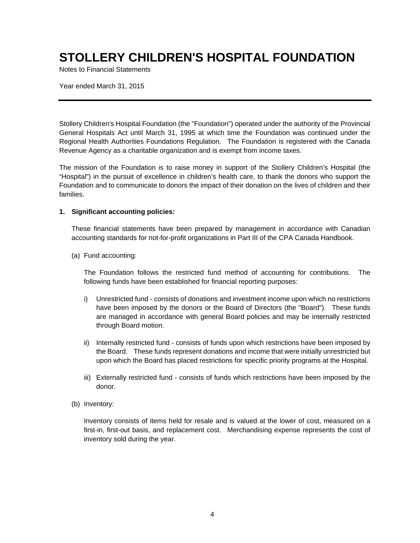Notes to Financial Statements

Year ended March 31, 2015

Stollery Children's Hospital Foundation (the "Foundation") operated under the authority of the Provincial General Hospitals Act until March 31, 1995 at which time the Foundation was continued under the Regional Health Authorities Foundations Regulation. The Foundation is registered with the Canada Revenue Agency as a charitable organization and is exempt from income taxes.

The mission of the Foundation is to raise money in support of the Stollery Children's Hospital (the "Hospital") in the pursuit of excellence in children's health care, to thank the donors who support the Foundation and to communicate to donors the impact of their donation on the lives of children and their families.

#### **1. Significant accounting policies:**

These financial statements have been prepared by management in accordance with Canadian accounting standards for not-for-profit organizations in Part III of the CPA Canada Handbook.

(a) Fund accounting:

The Foundation follows the restricted fund method of accounting for contributions. The following funds have been established for financial reporting purposes:

- i) Unrestricted fund consists of donations and investment income upon which no restrictions have been imposed by the donors or the Board of Directors (the "Board"). These funds are managed in accordance with general Board policies and may be internally restricted through Board motion.
- ii) Internally restricted fund consists of funds upon which restrictions have been imposed by the Board. These funds represent donations and income that were initially unrestricted but upon which the Board has placed restrictions for specific priority programs at the Hospital.
- iii) Externally restricted fund consists of funds which restrictions have been imposed by the donor.
- (b) Inventory:

Inventory consists of items held for resale and is valued at the lower of cost, measured on a first-in, first-out basis, and replacement cost. Merchandising expense represents the cost of inventory sold during the year.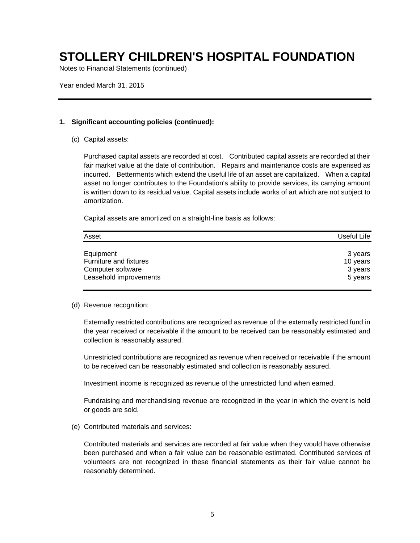Notes to Financial Statements (continued)

Year ended March 31, 2015

#### **1. Significant accounting policies (continued):**

(c) Capital assets:

Purchased capital assets are recorded at cost. Contributed capital assets are recorded at their fair market value at the date of contribution. Repairs and maintenance costs are expensed as incurred. Betterments which extend the useful life of an asset are capitalized. When a capital asset no longer contributes to the Foundation's ability to provide services, its carrying amount is written down to its residual value. Capital assets include works of art which are not subject to amortization.

Capital assets are amortized on a straight-line basis as follows:

| Equipment              | 3 years  |
|------------------------|----------|
| Furniture and fixtures | 10 years |
| Computer software      | 3 years  |
| Leasehold improvements | 5 years  |

#### (d) Revenue recognition:

Externally restricted contributions are recognized as revenue of the externally restricted fund in the year received or receivable if the amount to be received can be reasonably estimated and collection is reasonably assured.

Unrestricted contributions are recognized as revenue when received or receivable if the amount to be received can be reasonably estimated and collection is reasonably assured.

Investment income is recognized as revenue of the unrestricted fund when earned.

Fundraising and merchandising revenue are recognized in the year in which the event is held or goods are sold.

(e) Contributed materials and services:

Contributed materials and services are recorded at fair value when they would have otherwise been purchased and when a fair value can be reasonable estimated. Contributed services of volunteers are not recognized in these financial statements as their fair value cannot be reasonably determined.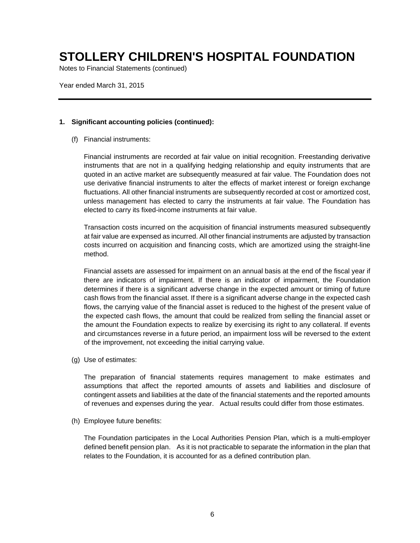Notes to Financial Statements (continued)

Year ended March 31, 2015

#### **1. Significant accounting policies (continued):**

(f) Financial instruments:

Financial instruments are recorded at fair value on initial recognition. Freestanding derivative instruments that are not in a qualifying hedging relationship and equity instruments that are quoted in an active market are subsequently measured at fair value. The Foundation does not use derivative financial instruments to alter the effects of market interest or foreign exchange fluctuations. All other financial instruments are subsequently recorded at cost or amortized cost, unless management has elected to carry the instruments at fair value. The Foundation has elected to carry its fixed-income instruments at fair value.

Transaction costs incurred on the acquisition of financial instruments measured subsequently at fair value are expensed as incurred. All other financial instruments are adjusted by transaction costs incurred on acquisition and financing costs, which are amortized using the straight-line method.

Financial assets are assessed for impairment on an annual basis at the end of the fiscal year if there are indicators of impairment. If there is an indicator of impairment, the Foundation determines if there is a significant adverse change in the expected amount or timing of future cash flows from the financial asset. If there is a significant adverse change in the expected cash flows, the carrying value of the financial asset is reduced to the highest of the present value of the expected cash flows, the amount that could be realized from selling the financial asset or the amount the Foundation expects to realize by exercising its right to any collateral. If events and circumstances reverse in a future period, an impairment loss will be reversed to the extent of the improvement, not exceeding the initial carrying value.

(g) Use of estimates:

The preparation of financial statements requires management to make estimates and assumptions that affect the reported amounts of assets and liabilities and disclosure of contingent assets and liabilities at the date of the financial statements and the reported amounts of revenues and expenses during the year. Actual results could differ from those estimates.

(h) Employee future benefits:

The Foundation participates in the Local Authorities Pension Plan, which is a multi-employer defined benefit pension plan. As it is not practicable to separate the information in the plan that relates to the Foundation, it is accounted for as a defined contribution plan.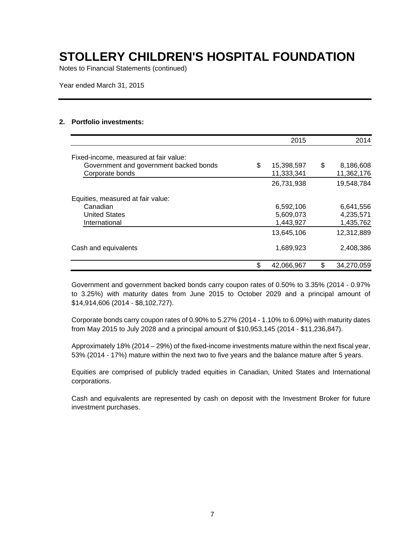Notes to Financial Statements (continued)

Year ended March 31, 2015

#### **2. Portfolio investments:**

|                                        | 2015             | 2014             |
|----------------------------------------|------------------|------------------|
| Fixed-income, measured at fair value:  |                  |                  |
| Government and government backed bonds | \$<br>15,398,597 | \$<br>8,186,608  |
| Corporate bonds                        | 11,333,341       | 11,362,176       |
|                                        | 26,731,938       | 19,548,784       |
| Equities, measured at fair value:      |                  |                  |
| Canadian                               | 6,592,106        | 6,641,556        |
| <b>United States</b>                   | 5,609,073        | 4,235,571        |
| International                          | 1,443,927        | 1,435,762        |
|                                        | 13,645,106       | 12,312,889       |
| Cash and equivalents                   | 1,689,923        | 2,408,386        |
|                                        | \$<br>42,066,967 | \$<br>34,270,059 |

Government and government backed bonds carry coupon rates of 0.50% to 3.35% (2014 - 0.97% to 3.25%) with maturity dates from June 2015 to October 2029 and a principal amount of \$14,914,606 (2014 - \$8,102,727).

Corporate bonds carry coupon rates of 0.90% to 5.27% (2014 - 1.10% to 6.09%) with maturity dates from May 2015 to July 2028 and a principal amount of \$10,953,145 (2014 - \$11,236,847).

Approximately 18% (2014 – 29%) of the fixed-income investments mature within the next fiscal year, 53% (2014 - 17%) mature within the next two to five years and the balance mature after 5 years.

Equities are comprised of publicly traded equities in Canadian, United States and International corporations.

Cash and equivalents are represented by cash on deposit with the Investment Broker for future investment purchases.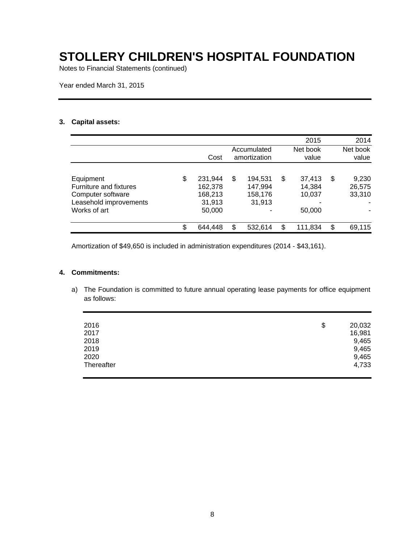Notes to Financial Statements (continued)

Year ended March 31, 2015

#### **3. Capital assets:**

|                                                                                                    |                                                         |                                               | 2015                                       | 2014                            |
|----------------------------------------------------------------------------------------------------|---------------------------------------------------------|-----------------------------------------------|--------------------------------------------|---------------------------------|
|                                                                                                    | Cost                                                    | Accumulated<br>amortization                   | Net book<br>value                          | Net book<br>value               |
| Equipment<br>Furniture and fixtures<br>Computer software<br>Leasehold improvements<br>Works of art | \$<br>231,944<br>162,378<br>168,213<br>31,913<br>50,000 | \$<br>194,531<br>147,994<br>158,176<br>31.913 | \$<br>37,413<br>14,384<br>10,037<br>50,000 | \$<br>9,230<br>26,575<br>33,310 |
|                                                                                                    | \$<br>644,448                                           | \$<br>532,614                                 | \$<br>111,834                              | \$<br>69,115                    |

Amortization of \$49,650 is included in administration expenditures (2014 - \$43,161).

#### **4. Commitments:**

a) The Foundation is committed to future annual operating lease payments for office equipment as follows:

| 2016       | \$<br>20,032 |
|------------|--------------|
| 2017       | 16,981       |
| 2018       | 9,465        |
| 2019       | 9,465        |
| 2020       | 9,465        |
| Thereafter | 4,733        |
|            |              |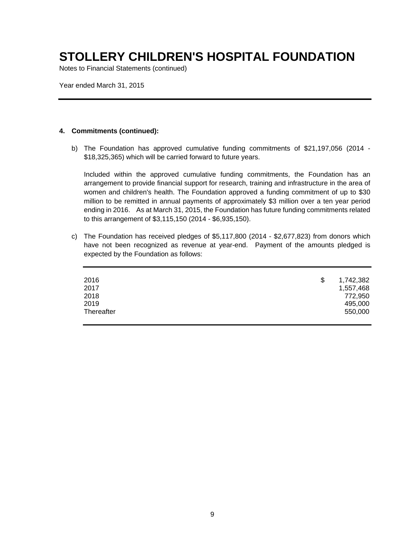Notes to Financial Statements (continued)

Year ended March 31, 2015

#### **4. Commitments (continued):**

b) The Foundation has approved cumulative funding commitments of \$21,197,056 (2014 - \$18,325,365) which will be carried forward to future years.

Included within the approved cumulative funding commitments, the Foundation has an arrangement to provide financial support for research, training and infrastructure in the area of women and children's health. The Foundation approved a funding commitment of up to \$30 million to be remitted in annual payments of approximately \$3 million over a ten year period ending in 2016. As at March 31, 2015, the Foundation has future funding commitments related to this arrangement of \$3,115,150 (2014 - \$6,935,150).

c) The Foundation has received pledges of \$5,117,800 (2014 - \$2,677,823) from donors which have not been recognized as revenue at year-end. Payment of the amounts pledged is expected by the Foundation as follows:

| 2016       | \$<br>1,742,382 |
|------------|-----------------|
| 2017       | 1,557,468       |
| 2018       | 772,950         |
| 2019       | 495,000         |
| Thereafter | 550,000         |
|            |                 |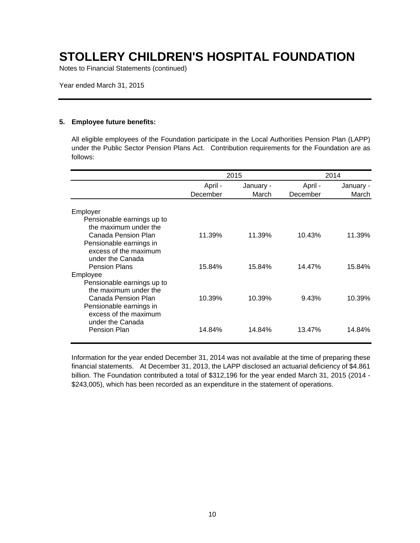Notes to Financial Statements (continued)

Year ended March 31, 2015

#### **5. Employee future benefits:**

All eligible employees of the Foundation participate in the Local Authorities Pension Plan (LAPP) under the Public Sector Pension Plans Act. Contribution requirements for the Foundation are as follows:

|                                                                                              |          | 2015      |          | 2014      |  |  |
|----------------------------------------------------------------------------------------------|----------|-----------|----------|-----------|--|--|
|                                                                                              | April -  | January - | April -  | January - |  |  |
|                                                                                              | December | March     | December | March     |  |  |
| Employer                                                                                     |          |           |          |           |  |  |
| Pensionable earnings up to<br>the maximum under the<br>Canada Pension Plan                   | 11.39%   | 11.39%    | 10.43%   | 11.39%    |  |  |
| Pensionable earnings in<br>excess of the maximum<br>under the Canada<br><b>Pension Plans</b> | 15.84%   | 15.84%    | 14.47%   | 15.84%    |  |  |
| Employee<br>Pensionable earnings up to<br>the maximum under the                              |          |           |          |           |  |  |
| Canada Pension Plan<br>Pensionable earnings in<br>excess of the maximum<br>under the Canada  | 10.39%   | 10.39%    | 9.43%    | 10.39%    |  |  |
| Pension Plan                                                                                 | 14.84%   | 14.84%    | 13.47%   | 14.84%    |  |  |

Information for the year ended December 31, 2014 was not available at the time of preparing these financial statements. At December 31, 2013, the LAPP disclosed an actuarial deficiency of \$4.861 billion. The Foundation contributed a total of \$312,196 for the year ended March 31, 2015 (2014 - \$243,005), which has been recorded as an expenditure in the statement of operations.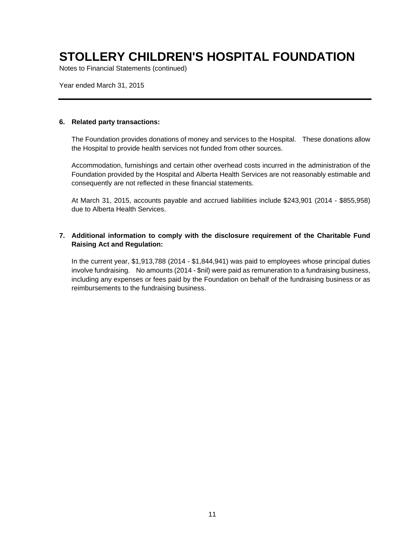Notes to Financial Statements (continued)

Year ended March 31, 2015

#### **6. Related party transactions:**

The Foundation provides donations of money and services to the Hospital. These donations allow the Hospital to provide health services not funded from other sources.

Accommodation, furnishings and certain other overhead costs incurred in the administration of the Foundation provided by the Hospital and Alberta Health Services are not reasonably estimable and consequently are not reflected in these financial statements.

At March 31, 2015, accounts payable and accrued liabilities include \$243,901 (2014 - \$855,958) due to Alberta Health Services.

#### **7. Additional information to comply with the disclosure requirement of the Charitable Fund Raising Act and Regulation:**

In the current year, \$1,913,788 (2014 - \$1,844,941) was paid to employees whose principal duties involve fundraising. No amounts (2014 - \$nil) were paid as remuneration to a fundraising business, including any expenses or fees paid by the Foundation on behalf of the fundraising business or as reimbursements to the fundraising business.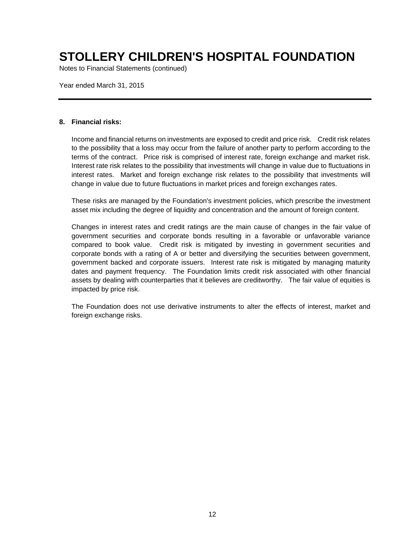Notes to Financial Statements (continued)

Year ended March 31, 2015

#### **8. Financial risks:**

Income and financial returns on investments are exposed to credit and price risk. Credit risk relates to the possibility that a loss may occur from the failure of another party to perform according to the terms of the contract. Price risk is comprised of interest rate, foreign exchange and market risk. Interest rate risk relates to the possibility that investments will change in value due to fluctuations in interest rates. Market and foreign exchange risk relates to the possibility that investments will change in value due to future fluctuations in market prices and foreign exchanges rates.

These risks are managed by the Foundation's investment policies, which prescribe the investment asset mix including the degree of liquidity and concentration and the amount of foreign content.

Changes in interest rates and credit ratings are the main cause of changes in the fair value of government securities and corporate bonds resulting in a favorable or unfavorable variance compared to book value. Credit risk is mitigated by investing in government securities and corporate bonds with a rating of A or better and diversifying the securities between government, government backed and corporate issuers. Interest rate risk is mitigated by managing maturity dates and payment frequency. The Foundation limits credit risk associated with other financial assets by dealing with counterparties that it believes are creditworthy. The fair value of equities is impacted by price risk.

The Foundation does not use derivative instruments to alter the effects of interest, market and foreign exchange risks.